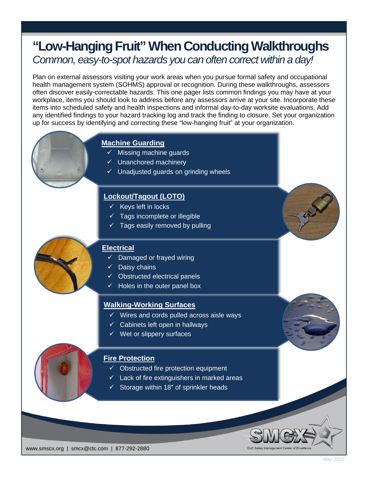# **"Low-Hanging Fruit" When Conducting Walkthroughs** *Common, easy-to-spot hazards you can often correct within a day!*

Plan on external assessors visiting your work areas when you pursue formal safety and occupational health management system (SOHMS) approval or recognition. During these walkthroughs, assessors often discover easily-correctable hazards. This one pager lists common findings you may have at your workplace, items you should look to address before any assessors arrive at your site. Incorporate these items into scheduled safety and health inspections and informal day-to-day worksite evaluations. Add any identified findings to your hazard tracking log and track the finding to closure. Set your organization up for success by identifying and correcting these "low-hanging fruit" at your organization.

# **Machine Guarding**

- $\checkmark$  Missing machine guards
- $\checkmark$  Unanchored machinery
- $\checkmark$  Unadjusted guards on grinding wheels

## **Lockout/Tagout (LOTO)**

- $\times$  Keys left in locks
- $\checkmark$  Tags incomplete or illegible
- $\checkmark$  Tags easily removed by pulling

## **Electrical**

- Damaged or frayed wiring
- $\checkmark$  Daisy chains
- $\checkmark$  Obstructed electrical panels
- $\checkmark$  Holes in the outer panel box

#### **Walking-Working Surfaces**

- $\checkmark$  Wires and cords pulled across aisle ways
- $\checkmark$  Cabinets left open in hallways
- $\checkmark$  Wet or slippery surfaces

## **Fire Protection**

- $\checkmark$  Obstructed fire protection equipment
- $\checkmark$  Lack of fire extinguishers in marked areas
- $\checkmark$  Storage within 18" of sprinkler heads